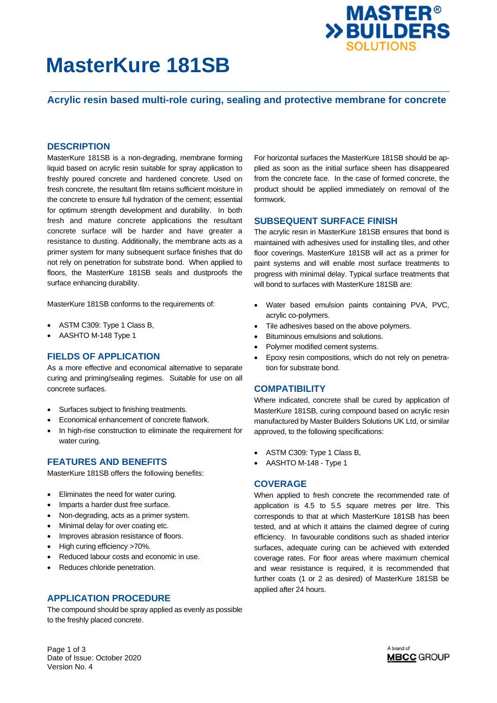

# **MasterKure 181SB**

# **Acrylic resin based multi-role curing, sealing and protective membrane for concrete**

### **DESCRIPTION**

MasterKure 181SB is a non-degrading, membrane forming liquid based on acrylic resin suitable for spray application to freshly poured concrete and hardened concrete. Used on fresh concrete, the resultant film retains sufficient moisture in the concrete to ensure full hydration of the cement; essential for optimum strength development and durability. In both fresh and mature concrete applications the resultant concrete surface will be harder and have greater a resistance to dusting. Additionally, the membrane acts as a primer system for many subsequent surface finishes that do not rely on penetration for substrate bond. When applied to floors, the MasterKure 181SB seals and dustproofs the surface enhancing durability.

MasterKure 181SB conforms to the requirements of:

- ASTM C309: Type 1 Class B,
- AASHTO M-148 Type 1

### **FIELDS OF APPLICATION**

As a more effective and economical alternative to separate curing and priming/sealing regimes. Suitable for use on all concrete surfaces.

- Surfaces subject to finishing treatments.
- Economical enhancement of concrete flatwork.
- In high-rise construction to eliminate the requirement for water curing.

#### **FEATURES AND BENEFITS**

MasterKure 181SB offers the following benefits:

- Eliminates the need for water curing.
- Imparts a harder dust free surface.
- Non-degrading, acts as a primer system.
- Minimal delay for over coating etc.
- Improves abrasion resistance of floors.
- High curing efficiency >70%.
- Reduced labour costs and economic in use.
- Reduces chloride penetration.

### **APPLICATION PROCEDURE**

The compound should be spray applied as evenly as possible to the freshly placed concrete.

For horizontal surfaces the MasterKure 181SB should be applied as soon as the initial surface sheen has disappeared from the concrete face. In the case of formed concrete, the product should be applied immediately on removal of the formwork.

#### **SUBSEQUENT SURFACE FINISH**

The acrylic resin in MasterKure 181SB ensures that bond is maintained with adhesives used for installing tiles, and other floor coverings. MasterKure 181SB will act as a primer for paint systems and will enable most surface treatments to progress with minimal delay. Typical surface treatments that will bond to surfaces with MasterKure 181SB are:

- Water based emulsion paints containing PVA, PVC, acrylic co-polymers.
- Tile adhesives based on the above polymers.
- Bituminous emulsions and solutions.
- Polymer modified cement systems.
- Epoxy resin compositions, which do not rely on penetration for substrate bond.

## **COMPATIBILITY**

Where indicated, concrete shall be cured by application of MasterKure 181SB, curing compound based on acrylic resin manufactured by Master Builders Solutions UK Ltd, or similar approved, to the following specifications:

- ASTM C309: Type 1 Class B,
- AASHTO M-148 Type 1

#### **COVERAGE**

When applied to fresh concrete the recommended rate of application is 4.5 to 5.5 square metres per litre. This corresponds to that at which MasterKure 181SB has been tested, and at which it attains the claimed degree of curing efficiency. In favourable conditions such as shaded interior surfaces, adequate curing can be achieved with extended coverage rates. For floor areas where maximum chemical and wear resistance is required, it is recommended that further coats (1 or 2 as desired) of MasterKure 181SB be applied after 24 hours.

Page 1 of 3 Date of Issue: October 2020 Version No. 4

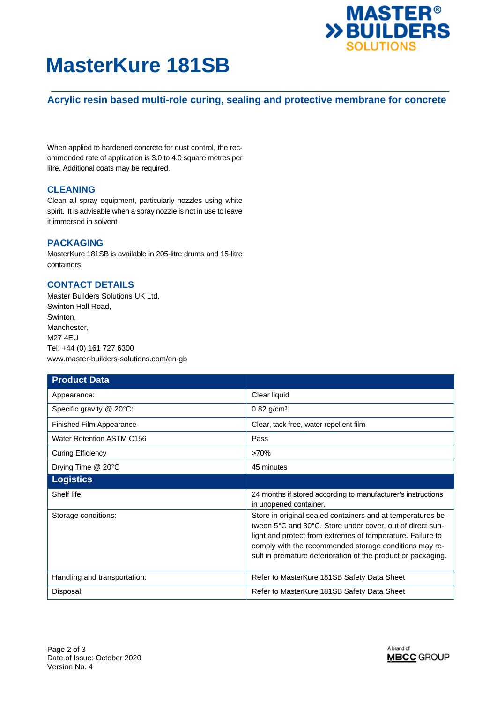

# **MasterKure 181SB**

# **Acrylic resin based multi-role curing, sealing and protective membrane for concrete**

When applied to hardened concrete for dust control, the recommended rate of application is 3.0 to 4.0 square metres per litre. Additional coats may be required.

## **CLEANING**

Clean all spray equipment, particularly nozzles using white spirit. It is advisable when a spray nozzle is not in use to leave it immersed in solvent

## **PACKAGING**

MasterKure 181SB is available in 205-litre drums and 15-litre containers.

# **CONTACT DETAILS**

Master Builders Solutions UK Ltd, Swinton Hall Road, Swinton, Manchester, M27 4EU Tel: +44 (0) 161 727 6300 www.master-builders-solutions.com/en-gb

| <b>Product Data</b>          |                                                                                                                                                                                                                                                                                                                  |
|------------------------------|------------------------------------------------------------------------------------------------------------------------------------------------------------------------------------------------------------------------------------------------------------------------------------------------------------------|
| Appearance:                  | Clear liquid                                                                                                                                                                                                                                                                                                     |
| Specific gravity @ 20°C:     | $0.82$ g/cm <sup>3</sup>                                                                                                                                                                                                                                                                                         |
| Finished Film Appearance     | Clear, tack free, water repellent film                                                                                                                                                                                                                                                                           |
| Water Retention ASTM C156    | Pass                                                                                                                                                                                                                                                                                                             |
| <b>Curing Efficiency</b>     | >70%                                                                                                                                                                                                                                                                                                             |
| Drying Time @ 20°C           | 45 minutes                                                                                                                                                                                                                                                                                                       |
| <b>Logistics</b>             |                                                                                                                                                                                                                                                                                                                  |
| Shelf life:                  | 24 months if stored according to manufacturer's instructions<br>in unopened container.                                                                                                                                                                                                                           |
| Storage conditions:          | Store in original sealed containers and at temperatures be-<br>tween 5°C and 30°C. Store under cover, out of direct sun-<br>light and protect from extremes of temperature. Failure to<br>comply with the recommended storage conditions may re-<br>sult in premature deterioration of the product or packaging. |
| Handling and transportation: | Refer to MasterKure 181SB Safety Data Sheet                                                                                                                                                                                                                                                                      |
| Disposal:                    | Refer to MasterKure 181SB Safety Data Sheet                                                                                                                                                                                                                                                                      |